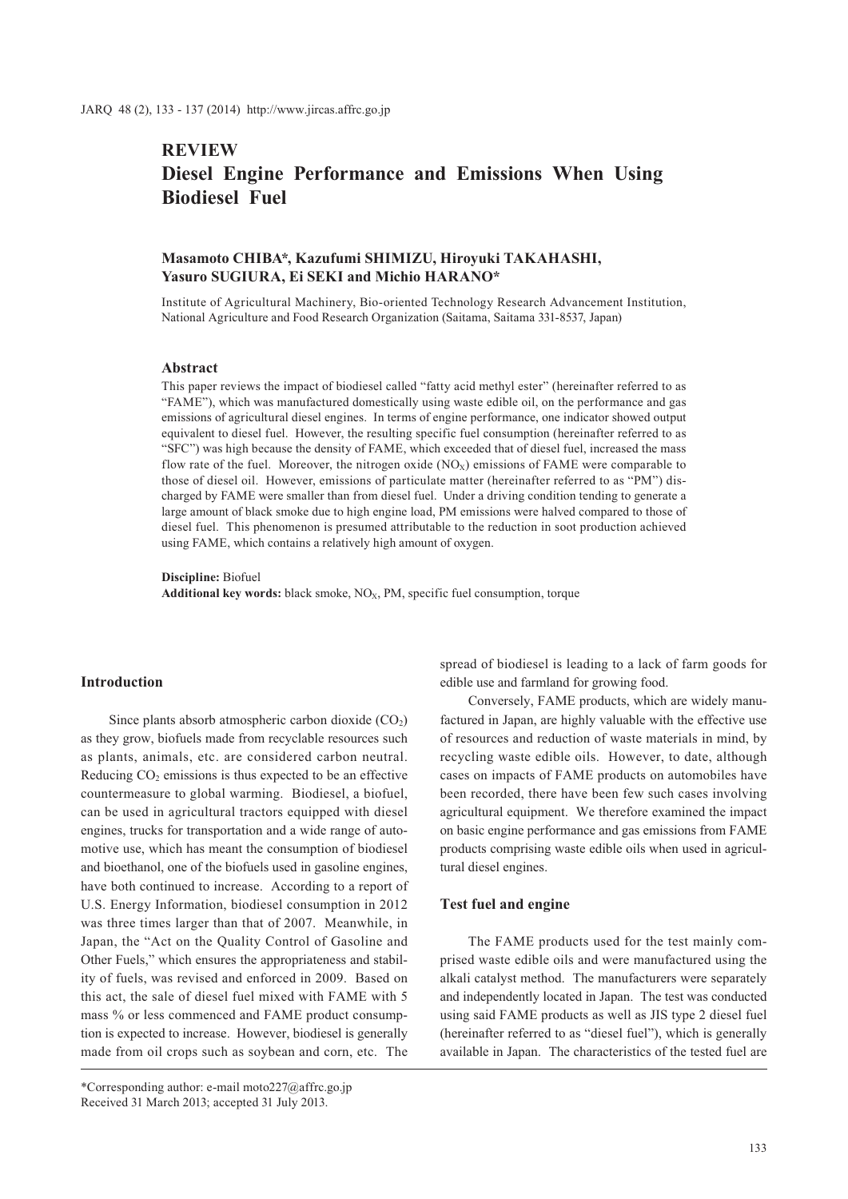# **REVIEW**

# **Diesel Engine Performance and Emissions When Using Biodiesel Fuel**

# **Masamoto CHIBA\*, Kazufumi SHIMIZU, Hiroyuki TAKAHASHI, Yasuro SUGIURA, Ei SEKI and Michio HARANO\***

Institute of Agricultural Machinery, Bio-oriented Technology Research Advancement Institution, National Agriculture and Food Research Organization (Saitama, Saitama 331-8537, Japan)

#### **Abstract**

This paper reviews the impact of biodiesel called "fatty acid methyl ester" (hereinafter referred to as "FAME"), which was manufactured domestically using waste edible oil, on the performance and gas emissions of agricultural diesel engines. In terms of engine performance, one indicator showed output equivalent to diesel fuel. However, the resulting specific fuel consumption (hereinafter referred to as "SFC") was high because the density of FAME, which exceeded that of diesel fuel, increased the mass flow rate of the fuel. Moreover, the nitrogen oxide  $(NO<sub>X</sub>)$  emissions of FAME were comparable to those of diesel oil. However, emissions of particulate matter (hereinafter referred to as "PM") discharged by FAME were smaller than from diesel fuel. Under a driving condition tending to generate a large amount of black smoke due to high engine load, PM emissions were halved compared to those of diesel fuel. This phenomenon is presumed attributable to the reduction in soot production achieved using FAME, which contains a relatively high amount of oxygen.

**Discipline:** Biofuel **Additional key words:** black smoke,  $NO<sub>X</sub>$ , PM, specific fuel consumption, torque

#### **Introduction**

Since plants absorb atmospheric carbon dioxide  $(CO<sub>2</sub>)$ as they grow, biofuels made from recyclable resources such as plants, animals, etc. are considered carbon neutral. Reducing  $CO<sub>2</sub>$  emissions is thus expected to be an effective countermeasure to global warming. Biodiesel, a biofuel, can be used in agricultural tractors equipped with diesel engines, trucks for transportation and a wide range of automotive use, which has meant the consumption of biodiesel and bioethanol, one of the biofuels used in gasoline engines, have both continued to increase. According to a report of U.S. Energy Information, biodiesel consumption in 2012 was three times larger than that of 2007. Meanwhile, in Japan, the "Act on the Quality Control of Gasoline and Other Fuels," which ensures the appropriateness and stability of fuels, was revised and enforced in 2009. Based on this act, the sale of diesel fuel mixed with FAME with 5 mass % or less commenced and FAME product consumption is expected to increase. However, biodiesel is generally made from oil crops such as soybean and corn, etc. The

spread of biodiesel is leading to a lack of farm goods for edible use and farmland for growing food.

Conversely, FAME products, which are widely manufactured in Japan, are highly valuable with the effective use of resources and reduction of waste materials in mind, by recycling waste edible oils. However, to date, although cases on impacts of FAME products on automobiles have been recorded, there have been few such cases involving agricultural equipment. We therefore examined the impact on basic engine performance and gas emissions from FAME products comprising waste edible oils when used in agricultural diesel engines.

#### **Test fuel and engine**

The FAME products used for the test mainly comprised waste edible oils and were manufactured using the alkali catalyst method. The manufacturers were separately and independently located in Japan. The test was conducted using said FAME products as well as JIS type 2 diesel fuel (hereinafter referred to as "diesel fuel"), which is generally available in Japan. The characteristics of the tested fuel are

<sup>\*</sup>Corresponding author: e-mail moto227@affrc.go.jp Received 31 March 2013; accepted 31 July 2013.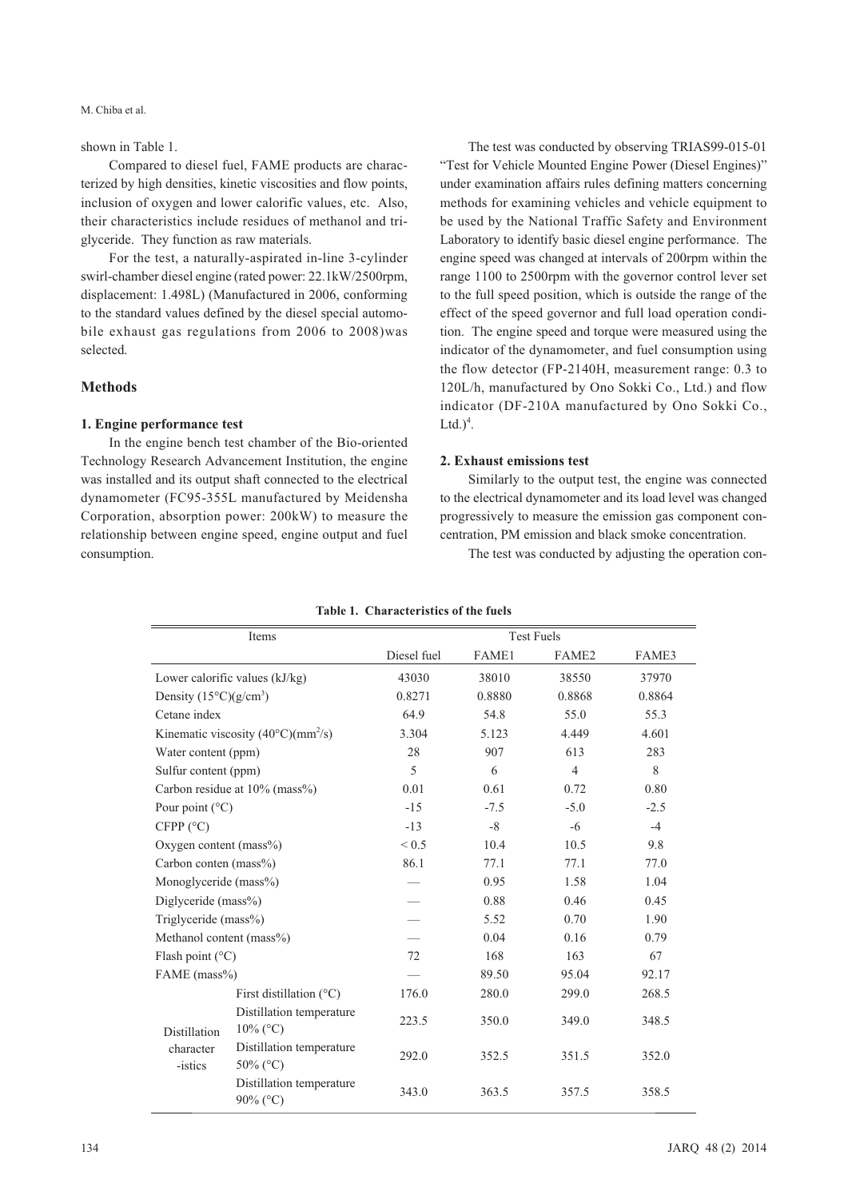M. Chiba et al.

# shown in Table 1.

Compared to diesel fuel, FAME products are characterized by high densities, kinetic viscosities and flow points, inclusion of oxygen and lower calorific values, etc. Also, their characteristics include residues of methanol and triglyceride. They function as raw materials.

For the test, a naturally-aspirated in-line 3-cylinder swirl-chamber diesel engine (rated power: 22.1kW/2500rpm, displacement: 1.498L) (Manufactured in 2006, conforming to the standard values defined by the diesel special automobile exhaust gas regulations from 2006 to 2008)was selected.

## **Methods**

#### **1. Engine performance test**

In the engine bench test chamber of the Bio-oriented Technology Research Advancement Institution, the engine was installed and its output shaft connected to the electrical dynamometer (FC95-355L manufactured by Meidensha Corporation, absorption power: 200kW) to measure the relationship between engine speed, engine output and fuel consumption.

The test was conducted by observing TRIAS99-015-01 "Test for Vehicle Mounted Engine Power (Diesel Engines)" under examination affairs rules defining matters concerning methods for examining vehicles and vehicle equipment to be used by the National Traffic Safety and Environment Laboratory to identify basic diesel engine performance. The engine speed was changed at intervals of 200rpm within the range 1100 to 2500rpm with the governor control lever set to the full speed position, which is outside the range of the effect of the speed governor and full load operation condition. The engine speed and torque were measured using the indicator of the dynamometer, and fuel consumption using the flow detector (FP-2140H, measurement range: 0.3 to 120L/h, manufactured by Ono Sokki Co., Ltd.) and flow indicator (DF-210A manufactured by Ono Sokki Co., Ltd. $)^4$ .

#### **2. Exhaust emissions test**

Similarly to the output test, the engine was connected to the electrical dynamometer and its load level was changed progressively to measure the emission gas component concentration, PM emission and black smoke concentration.

The test was conducted by adjusting the operation con-

| Items                                |                                             | <b>Test Fuels</b> |        |                   |        |  |
|--------------------------------------|---------------------------------------------|-------------------|--------|-------------------|--------|--|
|                                      |                                             | Diesel fuel       | FAME1  | FAME <sub>2</sub> | FAME3  |  |
| Lower calorific values (kJ/kg)       |                                             | 43030             | 38010  | 38550             | 37970  |  |
| Density $(15^{\circ}C)(g/cm^{3})$    |                                             | 0.8271            | 0.8880 | 0.8868            | 0.8864 |  |
| Cetane index                         |                                             | 64.9              | 54.8   | 55.0              | 55.3   |  |
|                                      | Kinematic viscosity $(40^{\circ}C)(mm^2/s)$ | 3.304             | 5.123  | 4.449             | 4.601  |  |
| Water content (ppm)                  |                                             | 28                | 907    | 613               | 283    |  |
| Sulfur content (ppm)                 |                                             | 5                 | 6      | $\overline{4}$    | 8      |  |
|                                      | Carbon residue at 10% (mass%)               | 0.01              | 0.61   | 0.72              | 0.80   |  |
| Pour point (°C)                      |                                             | $-15$             | $-7.5$ | $-5.0$            | $-2.5$ |  |
| CFPP $(^{\circ}C)$                   |                                             | $-13$             | $-8$   | $-6$              | $-4$   |  |
| Oxygen content ( $mass\%$ )          |                                             | ${}_{0.5}$        | 10.4   | 10.5              | 9.8    |  |
| Carbon conten (mass%)                |                                             | 86.1              | 77.1   | 77.1              | 77.0   |  |
| Monoglyceride (mass%)                |                                             |                   | 0.95   | 1.58              | 1.04   |  |
| Diglyceride (mass%)                  |                                             |                   | 0.88   | 0.46              | 0.45   |  |
| Triglyceride (mass%)                 |                                             |                   | 5.52   | 0.70              | 1.90   |  |
| Methanol content (mass%)             |                                             |                   | 0.04   | 0.16              | 0.79   |  |
| Flash point $(^{\circ}C)$            |                                             | 72                | 168    | 163               | 67     |  |
| FAME (mass%)                         |                                             |                   | 89.50  | 95.04             | 92.17  |  |
|                                      | First distillation $(^{\circ}C)$            | 176.0             | 280.0  | 299.0             | 268.5  |  |
| Distillation<br>character<br>-istics | Distillation temperature<br>$10\%$ (°C)     | 223.5             | 350.0  | 349.0             | 348.5  |  |
|                                      | Distillation temperature<br>50% (°C)        | 292.0             | 352.5  | 351.5             | 352.0  |  |
|                                      | Distillation temperature<br>90% (°C)        | 343.0             | 363.5  | 357.5             | 358.5  |  |

#### **Table 1. Characteristics of the fuels**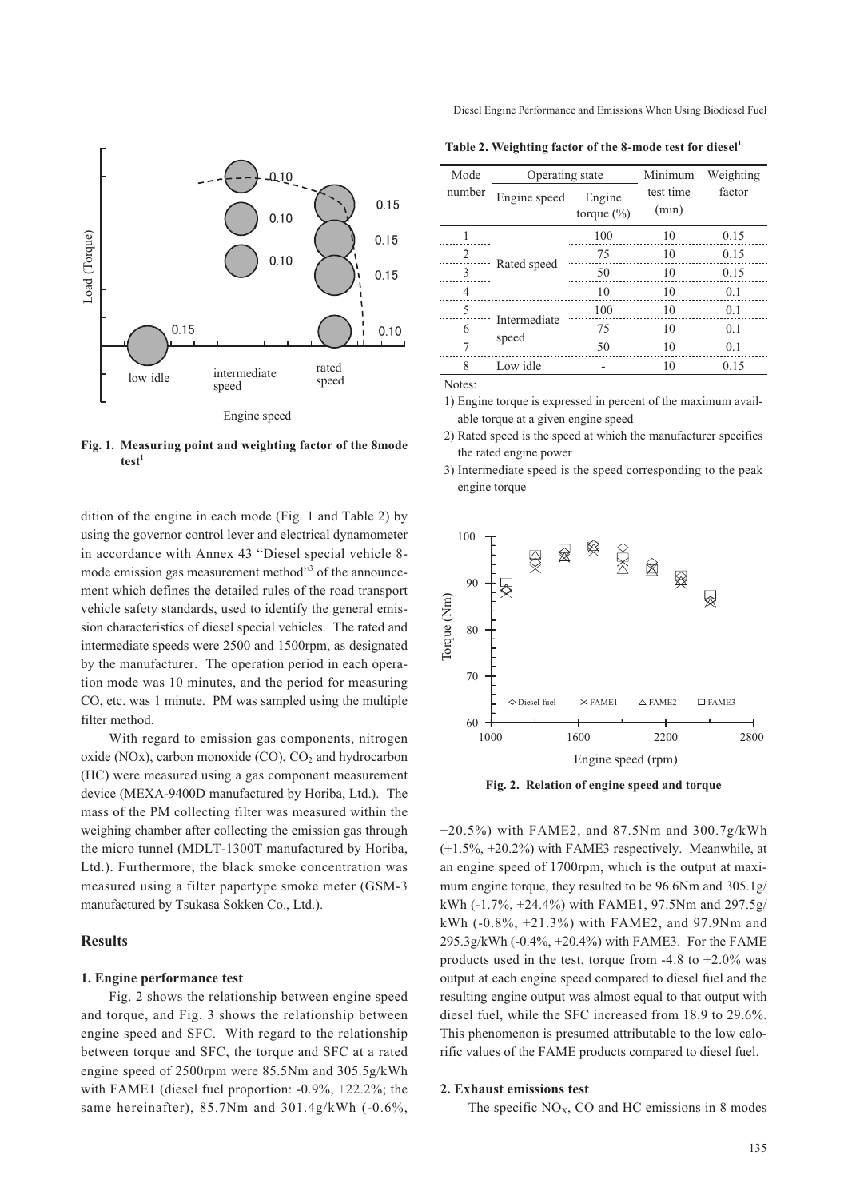

**Fig. 1. Measuring point and weighting factor of the 8mode**  test<sup>1</sup>

dition of the engine in each mode (Fig. 1 and Table 2) by using the governor control lever and electrical dynamometer in accordance with Annex 43 "Diesel special vehicle 8 mode emission gas measurement method"<sup>3</sup> of the announcement which defines the detailed rules of the road transport vehicle safety standards, used to identify the general emission characteristics of diesel special vehicles. The rated and intermediate speeds were 2500 and 1500rpm, as designated by the manufacturer. The operation period in each operation mode was 10 minutes, and the period for measuring CO, etc. was 1 minute. PM was sampled using the multiple filter method.

With regard to emission gas components, nitrogen oxide (NOx), carbon monoxide (CO),  $CO<sub>2</sub>$  and hydrocarbon (HC) were measured using a gas component measurement device (MEXA-9400D manufactured by Horiba, Ltd.). The mass of the PM collecting filter was measured within the weighing chamber after collecting the emission gas through the micro tunnel (MDLT-1300T manufactured by Horiba, Ltd.). Furthermore, the black smoke concentration was measured using a filter papertype smoke meter (GSM-3 manufactured by Tsukasa Sokken Co., Ltd.).

## **Results**

#### **1. Engine performance test**

Fig. 2 shows the relationship between engine speed and torque, and Fig. 3 shows the relationship between engine speed and SFC. With regard to the relationship between torque and SFC, the torque and SFC at a rated engine speed of 2500rpm were 85.5Nm and 305.5g/kWh with FAME1 (diesel fuel proportion: -0.9%, +22.2%; the same hereinafter), 85.7Nm and 301.4g/kWh (-0.6%, Diesel Engine Performance and Emissions When Using Biodiesel Fuel

**Table 2. Weighting factor of the 8-mode test for diesel1**

| Mode   | Operating state                          |     | Minimum            | Weighting<br>factor |  |
|--------|------------------------------------------|-----|--------------------|---------------------|--|
| number | Engine speed<br>Engine<br>torque $(\% )$ |     | test time<br>(min) |                     |  |
|        | Rated speed                              | 100 | 10                 | 0.15                |  |
| 2      |                                          | 75  | 10                 | 0.15                |  |
| 3      |                                          | 50  | 10                 | 0.15                |  |
| 4      |                                          | 10  | 10                 | 0.1                 |  |
| 5      | Intermediate<br>speed                    | 100 | 10                 | 0.1                 |  |
| 6      |                                          | 75  | 10                 | 0.1                 |  |
|        |                                          | 50  | 10                 | 0.1                 |  |
| 8      | Low idle                                 |     | 10                 | 0.15                |  |

Notes:

1) Engine torque is expressed in percent of the maximum available torque at a given engine speed

- 2) Rated speed is the speed at which the manufacturer specifies the rated engine power
- 3) Intermediate speed is the speed corresponding to the peak engine torque



**Fig. 2. Relation of engine speed and torque**

+20.5%) with FAME2, and 87.5Nm and 300.7g/kWh (+1.5%, +20.2%) with FAME3 respectively. Meanwhile, at an engine speed of 1700rpm, which is the output at maximum engine torque, they resulted to be 96.6Nm and 305.1g/ kWh (-1.7%, +24.4%) with FAME1, 97.5Nm and 297.5g/ kWh (-0.8%, +21.3%) with FAME2, and 97.9Nm and 295.3g/kWh (-0.4%, +20.4%) with FAME3. For the FAME products used in the test, torque from  $-4.8$  to  $+2.0\%$  was output at each engine speed compared to diesel fuel and the resulting engine output was almost equal to that output with diesel fuel, while the SFC increased from 18.9 to 29.6%. This phenomenon is presumed attributable to the low calorific values of the FAME products compared to diesel fuel.

#### **2. Exhaust emissions test**

The specific  $NO<sub>x</sub>$ , CO and HC emissions in 8 modes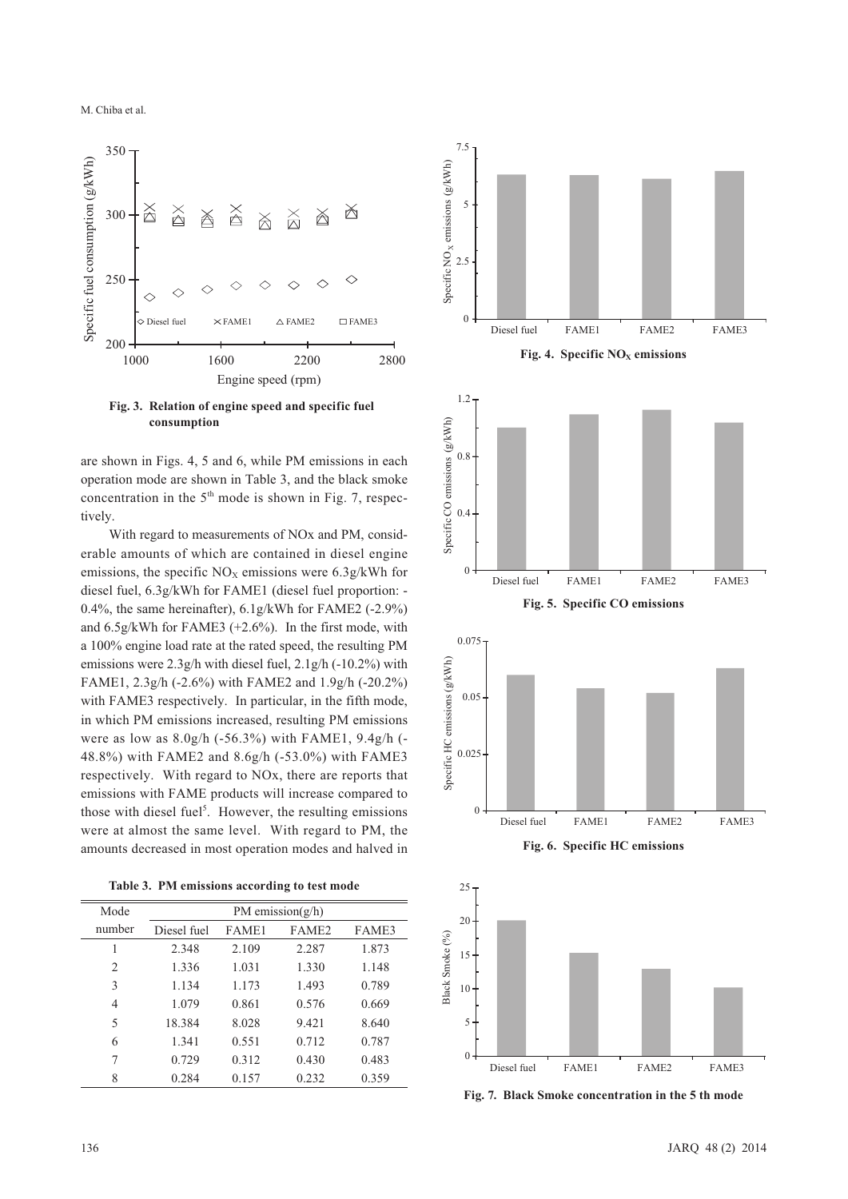

**Fig. 3. Relation of engine speed and specific fuel consumption**

are shown in Figs. 4, 5 and 6, while PM emissions in each operation mode are shown in Table 3, and the black smoke concentration in the  $5<sup>th</sup>$  mode is shown in Fig. 7, respectively.

With regard to measurements of NOx and PM, considerable amounts of which are contained in diesel engine emissions, the specific  $NO<sub>x</sub>$  emissions were 6.3g/kWh for diesel fuel, 6.3g/kWh for FAME1 (diesel fuel proportion: - 0.4%, the same hereinafter), 6.1g/kWh for FAME2 (-2.9%) and 6.5g/kWh for FAME3 (+2.6%). In the first mode, with a 100% engine load rate at the rated speed, the resulting PM emissions were 2.3g/h with diesel fuel, 2.1g/h (-10.2%) with FAME1, 2.3g/h (-2.6%) with FAME2 and 1.9g/h (-20.2%) with FAME3 respectively. In particular, in the fifth mode, in which PM emissions increased, resulting PM emissions were as low as 8.0g/h (-56.3%) with FAME1, 9.4g/h (- 48.8%) with FAME2 and 8.6g/h (-53.0%) with FAME3 respectively. With regard to NOx, there are reports that emissions with FAME products will increase compared to those with diesel fuel<sup>5</sup>. However, the resulting emissions were at almost the same level. With regard to PM, the amounts decreased in most operation modes and halved in

|  |  |  | Table 3. PM emissions according to test mode |  |  |  |
|--|--|--|----------------------------------------------|--|--|--|
|--|--|--|----------------------------------------------|--|--|--|

| Mode   | PM emission( $g/h$ ) |                   |                   |       |  |  |
|--------|----------------------|-------------------|-------------------|-------|--|--|
| number | Diesel fuel          | FAME <sub>1</sub> | FAME <sub>2</sub> | FAME3 |  |  |
| 1      | 2.348                | 2.109             | 2.287             | 1.873 |  |  |
| 2      | 1.336                | 1.031             | 1.330             | 1.148 |  |  |
| 3      | 1.134                | 1.173             | 1.493             | 0.789 |  |  |
| 4      | 1.079                | 0.861             | 0.576             | 0.669 |  |  |
| 5      | 18.384               | 8.028             | 9.421             | 8.640 |  |  |
| 6      | 1.341                | 0.551             | 0.712             | 0.787 |  |  |
| 7      | 0.729                | 0.312             | 0.430             | 0.483 |  |  |
| 8      | 0.284                | 0.157             | 0.232             | 0.359 |  |  |



**Fig. 7. Black Smoke concentration in the 5 th mode**